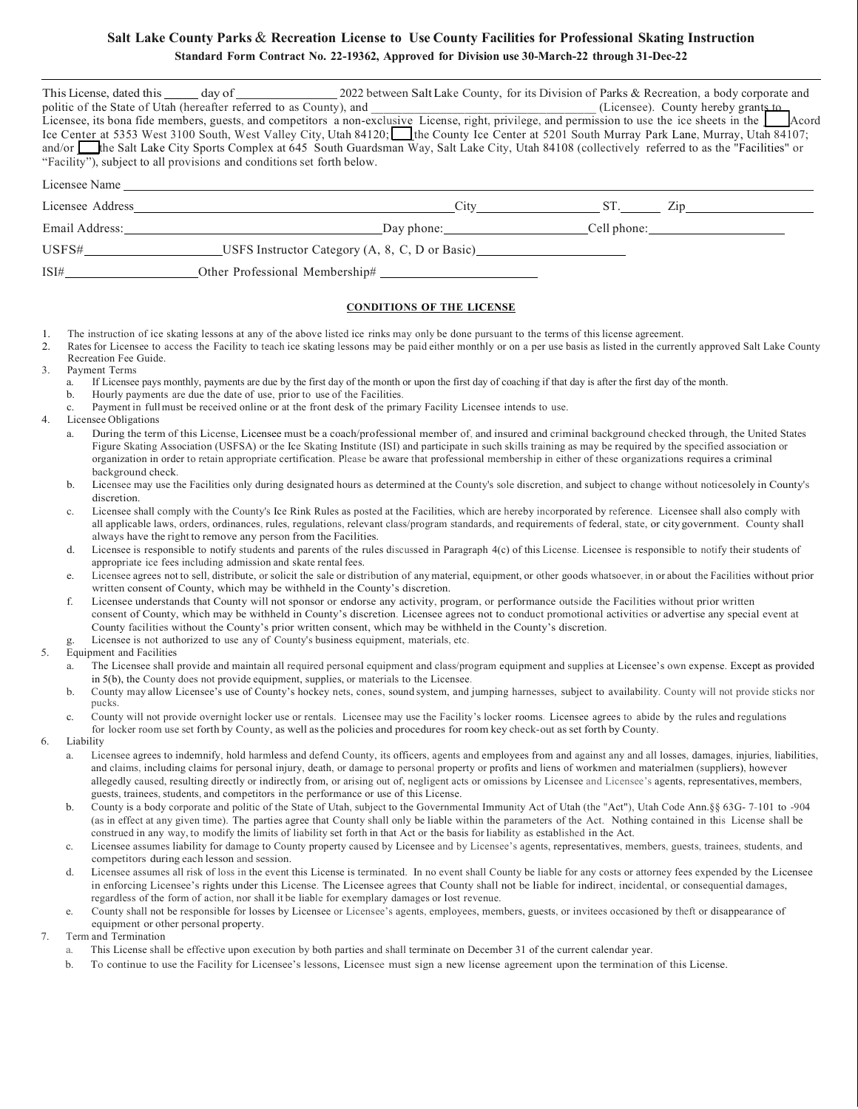## **Salt Lake County Parks** & **Recreation License to Use County Facilities for Professional Skating Instruction Standard Form Contract No. 22-19362, Approved for Division use 30-March-22 through 31-Dec-22**

|               | This License, dated this day of 2022 between Salt Lake County, for its Division of Parks & Recreation, a body corporate and                      |                                                |                                                                                                                                                                                                                        |                    |  |
|---------------|--------------------------------------------------------------------------------------------------------------------------------------------------|------------------------------------------------|------------------------------------------------------------------------------------------------------------------------------------------------------------------------------------------------------------------------|--------------------|--|
|               |                                                                                                                                                  |                                                | politic of the State of Utah (hereafter referred to as County), and<br>Licensee, its bona fide members, guests, and competitors a non-exclusive License, right, privilege, and permission to use the ice sheets in the |                    |  |
|               |                                                                                                                                                  |                                                |                                                                                                                                                                                                                        |                    |  |
|               | Ice Center at 5353 West 3100 South, West Valley City, Utah 84120; the County Ice Center at 5201 South Murray Park Lane, Murray, Utah 84107;      |                                                |                                                                                                                                                                                                                        |                    |  |
|               | and/or the Salt Lake City Sports Complex at 645 South Guardsman Way, Salt Lake City, Utah 84108 (collectively referred to as the "Facilities" or |                                                |                                                                                                                                                                                                                        |                    |  |
|               | "Facility"), subject to all provisions and conditions set forth below.                                                                           |                                                |                                                                                                                                                                                                                        |                    |  |
| Licensee Name |                                                                                                                                                  |                                                |                                                                                                                                                                                                                        |                    |  |
|               | Licensee Address Manual Manual Manual Manual Manual Manual Manual Manual Manual Manual Manual Manual Manual Ma                                   |                                                |                                                                                                                                                                                                                        | $City$ $ST.$ $Zip$ |  |
|               |                                                                                                                                                  | Day phone: Cell phone:                         |                                                                                                                                                                                                                        |                    |  |
|               |                                                                                                                                                  | USFS Instructor Category (A, 8, C, D or Basic) |                                                                                                                                                                                                                        |                    |  |
| ISI#          | Other Professional Membership#                                                                                                                   |                                                |                                                                                                                                                                                                                        |                    |  |
|               |                                                                                                                                                  |                                                |                                                                                                                                                                                                                        |                    |  |

## **CONDITIONS OF THE LICENSE**

- 1. The instruction of ice skating lessons at any of the above listed ice rinks may only be done pursuant to the terms of this license agreement.
- 2. Rates for Licensee to access the Facility to teach ice skating lessons may be paid either monthly or on a per use basis as listed in the currently approved Salt Lake County Recreation Fee Guide.
- 3. Payment Terms
	- a. If Licensee pays monthly, payments are due by the first day of the month or upon the first day of coaching if that day is after the first day of the month.
	- b. Hourly payments are due the date of use, prior to use of the Facilities.
	- c. Payment in full must be received online or at the front desk of the primary Facility Licensee intends to use.
- 4. Licensee Obligations
	- a. During the term of this License, Licensee must be a coach/professional member of, and insured and criminal background checked through, the United States Figure Skating Association (USFSA) or the Ice Skating Institute (ISI) and participate in such skills training as may be required by the specified association or organization in order to retain appropriate certification. Please be aware that professional membership in either of these organizations requires a criminal background check.
	- b. Licensee may use the Facilities only during designated hours as determined at the County's sole discretion, and subject to change without noticesolely in County's discretion.
	- c. Licensee shall comply with the County's Ice Rink Rules as posted at the Facilities, which are hereby incorporated by reference. Licensee shall also comply with all applicable laws, orders, ordinances, rules, regulations, relevant class/program standards, and requirements of federal, state, or citygovernment. County shall always have the right to remove any person from the Facilities.
	- d. Licensee is responsible to notify students and parents of the rules discussed in Paragraph 4(c) of this License. Licensee is responsible to notify their students of appropriate ice fees including admission and skate rental fees.
	- e. Licensee agrees not to sell, distribute, or solicit the sale or distribution of any material, equipment, or other goods whatsoever, in or about the Facilities without prior written consent of County, which may be withheld in the County's discretion.
	- f. Licensee understands that County will not sponsor or endorse any activity, program, or performance outside the Facilities without prior written consent of County, which may be withheld in County's discretion. Licensee agrees not to conduct promotional activities or advertise any special event at County facilities without the County's prior written consent, which may be withheld in the County's discretion.
		- Licensee is not authorized to use any of County's business equipment, materials, etc.
- 5. Equipment and Facilities
	- a. The Licensee shall provide and maintain all required personal equipment and class/program equipment and supplies at Licensee's own expense. Except as provided in 5(b), the County does not provide equipment, supplies, or materials to the Licensee.
	- b. County may allow Licensee's use of County's hockey nets, cones, sound system, and jumping harnesses, subject to availability. County will not provide sticks nor pucks.
	- c. County will not provide overnight locker use or rentals. Licensee may use the Facility's locker rooms. Licensee agrees to abide by the rules and regulations for locker room use set forth by County, as well as the policies and procedures for room key check-out as set forth by County.
- 6. Liability
	- a. Licensee agrees to indemnify, hold harmless and defend County, its officers, agents and employees from and against any and all losses, damages, injuries, liabilities, and claims, including claims for personal injury, death, or damage to personal property or profits and liens of workmen and material men (suppliers), however allegedly caused, resulting directly or indirectly from, or arising out of, negligent acts or omissions by Licensee and Licensee's agents, representatives, members, guests, trainees, students, and competitors in the performance or use of this License.
	- b. County is a body corporate and politic of the State of Utah, subject to the Governmental Immunity Act of Utah (the "Act"), Utah Code Ann.§§ 63G- 7-101 to -904 (as in effect at any given time). The parties agree that County shall only be liable within the parameters of the Act. Nothing contained in this License shall be construed in any way, to modify the limits of liability set forth in that Act or the basis for liability as established in the Act.
	- c. Licensee assumes liability for damage to County property caused by Licensee and by Licensee's agents, representatives, members, guests, trainees, students, and competitors during each lesson and session.
	- d. Licensee assumes all risk of loss in the event this License is terminated. In no event shall County be liable for any costs or attorney fees expended by the Licensee in enforcing Licensee's rights under this License. The Licensee agrees that County shall not be liable for indirect, incidental, or consequential damages, regardless of the form of action, nor shall it be liable for exemplary damages or lost revenue.
	- e. County shall not be responsible for losses by Licensee or Licensee's agents, employees, members, guests, or invitees occasioned by theft or disappearance of equipment or other personal property.
- 7. Term and Termination
	- a. This License shall be effective upon execution by both parties and shall terminate on December 31 of the current calendar year.
	- b. To continue to use the Facility for Licensee's lessons, Licensee must sign a new license agreement upon the termination of this License.